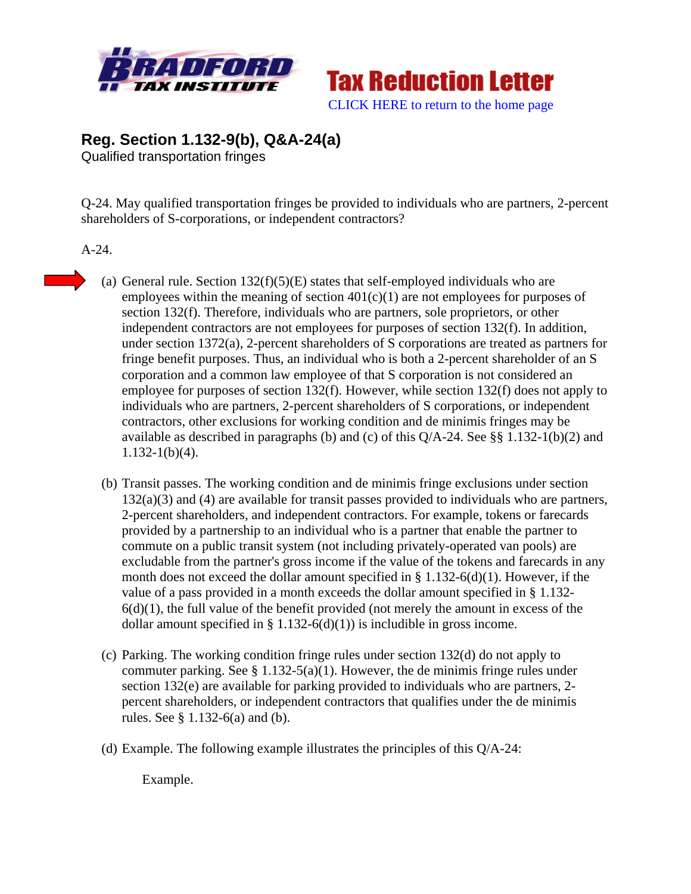



**Reg. Section 1.132-9(b), Q&A-24(a)** 

Qualified transportation fringes

Q-24. May qualified transportation fringes be provided to individuals who are partners, 2-percent shareholders of S-corporations, or independent contractors?

A-24.

- (a) General rule. Section  $132(f)(5)(E)$  states that self-employed individuals who are employees within the meaning of section  $401(c)(1)$  are not employees for purposes of section 132(f). Therefore, individuals who are partners, sole proprietors, or other independent contractors are not employees for purposes of section 132(f). In addition, under section 1372(a), 2-percent shareholders of S corporations are treated as partners for fringe benefit purposes. Thus, an individual who is both a 2-percent shareholder of an S corporation and a common law employee of that S corporation is not considered an employee for purposes of section 132(f). However, while section 132(f) does not apply to individuals who are partners, 2-percent shareholders of S corporations, or independent contractors, other exclusions for working condition and de minimis fringes may be available as described in paragraphs (b) and (c) of this Q/A-24. See §§ 1.132-1(b)(2) and 1.132-1(b)(4).
- (b) Transit passes. The working condition and de minimis fringe exclusions under section  $132(a)(3)$  and (4) are available for transit passes provided to individuals who are partners, 2-percent shareholders, and independent contractors. For example, tokens or farecards provided by a partnership to an individual who is a partner that enable the partner to commute on a public transit system (not including privately-operated van pools) are excludable from the partner's gross income if the value of the tokens and farecards in any month does not exceed the dollar amount specified in  $\S$  1.132-6(d)(1). However, if the value of a pass provided in a month exceeds the dollar amount specified in § 1.132-  $6(d)(1)$ , the full value of the benefit provided (not merely the amount in excess of the dollar amount specified in § 1.132-6(d)(1)) is includible in gross income.
- (c) Parking. The working condition fringe rules under section 132(d) do not apply to commuter parking. See § 1.132-5(a)(1). However, the de minimis fringe rules under section 132(e) are available for parking provided to individuals who are partners, 2 percent shareholders, or independent contractors that qualifies under the de minimis rules. See § 1.132-6(a) and (b).
- (d) Example. The following example illustrates the principles of this Q/A-24:

Example.